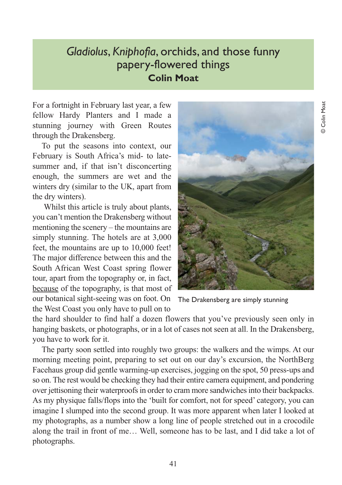## *Gladiolus*, *Kniphofia*, orchids, and those funny papery-flowered things **Colin Moat**

For a fortnight in February last year, a few fellow Hardy Planters and I made a stunning journey with Green Routes through the Drakensberg.

To put the seasons into context, our February is South Africa's mid- to latesummer and, if that isn't disconcerting enough, the summers are wet and the winters dry (similar to the UK, apart from the dry winters).

Whilst this article is truly about plants, you can't mention the Drakensberg without mentioning the scenery – the mountains are simply stunning. The hotels are at 3,000 feet, the mountains are up to 10,000 feet! The major difference between this and the South African West Coast spring flower tour, apart from the topography or, in fact, because of the topography, is that most of our botanical sight-seeing was on foot. On the West Coast you only have to pull on to



The Drakensberg are simply stunning

the hard shoulder to find half a dozen flowers that you've previously seen only in hanging baskets, or photographs, or in a lot of cases not seen at all. In the Drakensberg, you have to work for it.

The party soon settled into roughly two groups: the walkers and the wimps. At our morning meeting point, preparing to set out on our day's excursion, the NorthBerg Facehaus group did gentle warming-up exercises, jogging on the spot, 50 press-ups and so on. The rest would be checking they had their entire camera equipment, and pondering over jettisoning their waterproofs in order to cram more sandwiches into their backpacks. As my physique falls/flops into the 'built for comfort, not for speed' category, you can imagine I slumped into the second group. It was more apparent when later I looked at my photographs, as a number show a long line of people stretched out in a crocodile along the trail in front of me… Well, someone has to be last, and I did take a lot of photographs.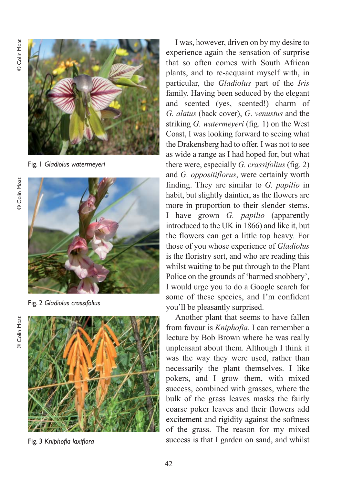© Colin Moat © Colin Moat



Fig. 1 *Gladiolus watermeyeri*



Fig. 2 *Gladiolus crassifolius*



Fig. 3 *Kniphofia laxiflora* 

I was, however, driven on by my desire to experience again the sensation of surprise that so often comes with South African plants, and to re-acquaint myself with, in particular, the *Gladiolus* part of the *Iris* family. Having been seduced by the elegant and scented (yes, scented!) charm of *G. alatus* (back cover), *G*. *venustus* and the striking *G. watermeyeri* (fig. 1) on the West Coast, I was looking forward to seeing what the Drakensberg had to offer. I was not to see as wide a range as I had hoped for, but what there were, especially *G. crassifolius* (fig. 2) and *G. oppositiflorus*, were certainly worth finding. They are similar to *G. papilio* in habit, but slightly daintier, as the flowers are more in proportion to their slender stems. I have grown *G. papilio* (apparently introduced to the UK in 1866) and like it, but the flowers can get a little top heavy. For those of you whose experience of *Gladiolus* is the floristry sort, and who are reading this whilst waiting to be put through to the Plant Police on the grounds of 'harmed snobbery', I would urge you to do a Google search for some of these species, and I'm confident you'll be pleasantly surprised.

Another plant that seems to have fallen from favour is *Kniphofia*. I can remember a lecture by Bob Brown where he was really unpleasant about them. Although I think it was the way they were used, rather than necessarily the plant themselves. I like pokers, and I grow them, with mixed success, combined with grasses, where the bulk of the grass leaves masks the fairly coarse poker leaves and their flowers add excitement and rigidity against the softness of the grass. The reason for my mixed success is that I garden on sand, and whilst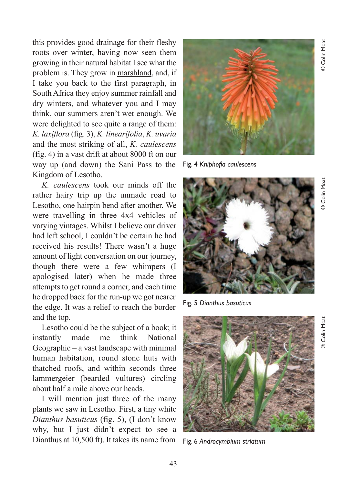this provides good drainage for their fleshy roots over winter, having now seen them growing in their natural habitat I see what the problem is. They grow in marshland, and, if I take you back to the first paragraph, in South Africa they enjoy summer rainfall and dry winters, and whatever you and I may think, our summers aren't wet enough. We were delighted to see quite a range of them: *K. laxiflora* (fig. 3), *K. linearifolia*, *K. uvaria* and the most striking of all, *K. caulescens* (fig. 4) in a vast drift at about 8000 ft on our way up (and down) the Sani Pass to the Kingdom of Lesotho.

*K. caulescens* took our minds off the rather hairy trip up the unmade road to Lesotho, one hairpin bend after another. We were travelling in three 4x4 vehicles of varying vintages. Whilst I believe our driver had left school, I couldn't be certain he had received his results! There wasn't a huge amount of light conversation on our journey, though there were a few whimpers (I apologised later) when he made three attempts to get round a corner, and each time he dropped back for the run-up we got nearer the edge. It was a relief to reach the border and the top.

Lesotho could be the subject of a book; it instantly made me think National Geographic – a vast landscape with minimal human habitation, round stone huts with thatched roofs, and within seconds three lammergeier (bearded vultures) circling about half a mile above our heads.

I will mention just three of the many plants we saw in Lesotho. First, a tiny white *Dianthus basuticus* (fig. 5), (I don't know why, but I just didn't expect to see a Dianthus at 10,500 ft). It takes its name from



Fig. 4 *Kniphofia caulescens*



Fig. 5 *Dianthus basuticus*



Fig. 6 *Androcymbium striatum*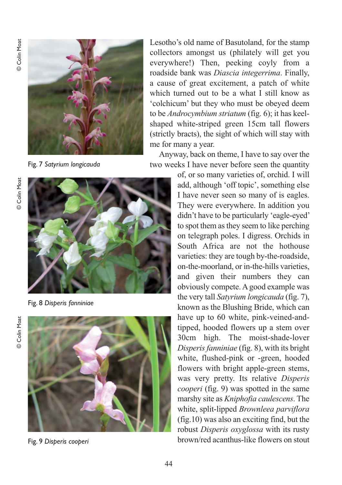

Fig. 7 *Satyrium longicauda*

**Colin Moat** © Colin Moat



Fig. 8 *Disperis fanniniae*



Fig. 9 *Disperis cooperi*

Lesotho's old name of Basutoland, for the stamp collectors amongst us (philately will get you everywhere!) Then, peeking coyly from a roadside bank was *Diascia integerrima*. Finally, a cause of great excitement, a patch of white which turned out to be a what I still know as 'colchicum' but they who must be obeyed deem to be *Androcymbium striatum* (fig. 6); it has keelshaped white-striped green 15cm tall flowers (strictly bracts), the sight of which will stay with me for many a year.

Anyway, back on theme, I have to say over the two weeks I have never before seen the quantity

> of, or so many varieties of, orchid. I will add, although 'off topic', something else I have never seen so many of is eagles. They were everywhere. In addition you didn't have to be particularly 'eagle-eyed' to spot them as they seem to like perching on telegraph poles. I digress. Orchids in South Africa are not the hothouse varieties: they are tough by-the-roadside, on-the-moorland, or in-the-hills varieties, and given their numbers they can obviously compete. A good example was the very tall *Satyrium longicauda* (fig. 7), known as the Blushing Bride, which can have up to 60 white, pink-veined-andtipped, hooded flowers up a stem over 30cm high. The moist-shade-lover *Disperis fanniniae* (fig. 8), with its bright white, flushed-pink or -green, hooded flowers with bright apple-green stems, was very pretty. Its relative *Disperis cooperi* (fig. 9) was spotted in the same marshy site as *Kniphofia caulescens*. The white, split-lipped *Brownleea parviflora* (fig.10) was also an exciting find, but the robust *Disperis oxyglossa* with its rusty brown/red acanthus-like flowers on stout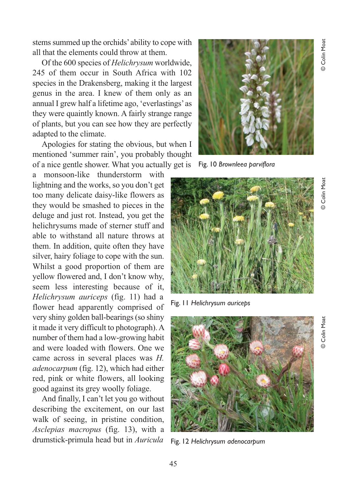**Colin Moat** © Colin Moat

stems summed up the orchids' ability to cope with all that the elements could throw at them.

Of the 600 species of *Helichrysum* worldwide, 245 of them occur in South Africa with 102 species in the Drakensberg, making it the largest genus in the area. I knew of them only as an annual I grew half a lifetime ago, 'everlastings' as they were quaintly known. A fairly strange range of plants, but you can see how they are perfectly adapted to the climate.

Apologies for stating the obvious, but when I mentioned 'summer rain', you probably thought of a nice gentle shower. What you actually get is

monsoon-like thunderstorm with lightning and the works, so you don't get too many delicate daisy-like flowers as they would be smashed to pieces in the deluge and just rot. Instead, you get the helichrysums made of sterner stuff and able to withstand all nature throws at them. In addition, quite often they have silver, hairy foliage to cope with the sun. Whilst a good proportion of them are yellow flowered and, I don't know why, seem less interesting because of it, *Helichrysum auriceps* (fig. 11) had a flower head apparently comprised of very shiny golden ball-bearings (so shiny it made it very difficult to photograph). A number of them had a low-growing habit and were loaded with flowers. One we came across in several places was *H. adenocarpum* (fig. 12), which had either red, pink or white flowers, all looking good against its grey woolly foliage.

And finally, I can't let you go without describing the excitement, on our last walk of seeing, in pristine condition, *Asclepias macropus* (fig. 13), with a drumstick-primula head but in *Auricula*



Fig. 10 *Brownleea parviflora*



Fig. 11 *Helichrysum auriceps*



Fig. 12 *Helichrysum adenocarpum*